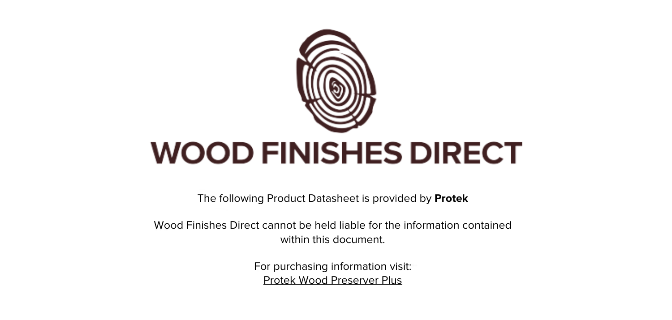

The following Product Datasheet is provided by **Protek**

Wood Finishes Direct cannot be held liable for the information contained within this document.

> For purchasing information visit: [Protek Wood Preserver Plus](https://www.wood-finishes-direct.com/product/protek-wood-preserver-plus)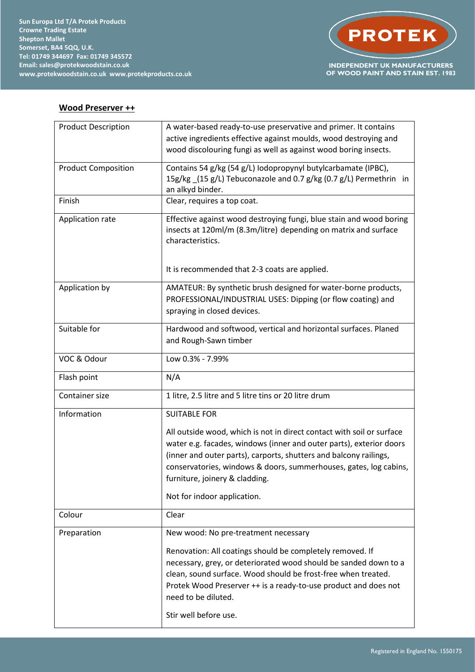

## **Wood Preserver ++**

| <b>Product Description</b> | A water-based ready-to-use preservative and primer. It contains                     |
|----------------------------|-------------------------------------------------------------------------------------|
|                            | active ingredients effective against moulds, wood destroying and                    |
|                            | wood discolouring fungi as well as against wood boring insects.                     |
| <b>Product Composition</b> | Contains 54 g/kg (54 g/L) Iodopropynyl butylcarbamate (IPBC),                       |
|                            | 15g/kg (15 g/L) Tebuconazole and 0.7 g/kg (0.7 g/L) Permethrin in                   |
|                            | an alkyd binder.                                                                    |
| Finish                     | Clear, requires a top coat.                                                         |
| Application rate           | Effective against wood destroying fungi, blue stain and wood boring                 |
|                            | insects at 120ml/m (8.3m/litre) depending on matrix and surface<br>characteristics. |
|                            |                                                                                     |
|                            | It is recommended that 2-3 coats are applied.                                       |
| Application by             | AMATEUR: By synthetic brush designed for water-borne products,                      |
|                            | PROFESSIONAL/INDUSTRIAL USES: Dipping (or flow coating) and                         |
|                            | spraying in closed devices.                                                         |
| Suitable for               | Hardwood and softwood, vertical and horizontal surfaces. Planed                     |
|                            | and Rough-Sawn timber                                                               |
|                            |                                                                                     |
| VOC & Odour                | Low 0.3% - 7.99%                                                                    |
| Flash point                | N/A                                                                                 |
| Container size             | 1 litre, 2.5 litre and 5 litre tins or 20 litre drum                                |
| Information                | <b>SUITABLE FOR</b>                                                                 |
|                            | All outside wood, which is not in direct contact with soil or surface               |
|                            | water e.g. facades, windows (inner and outer parts), exterior doors                 |
|                            | (inner and outer parts), carports, shutters and balcony railings,                   |
|                            | conservatories, windows & doors, summerhouses, gates, log cabins,                   |
|                            | furniture, joinery & cladding.                                                      |
|                            | Not for indoor application.                                                         |
| Colour                     | Clear                                                                               |
| Preparation                | New wood: No pre-treatment necessary                                                |
|                            | Renovation: All coatings should be completely removed. If                           |
|                            | necessary, grey, or deteriorated wood should be sanded down to a                    |
|                            | clean, sound surface. Wood should be frost-free when treated.                       |
|                            | Protek Wood Preserver ++ is a ready-to-use product and does not                     |
|                            | need to be diluted.                                                                 |
|                            | Stir well before use.                                                               |
|                            |                                                                                     |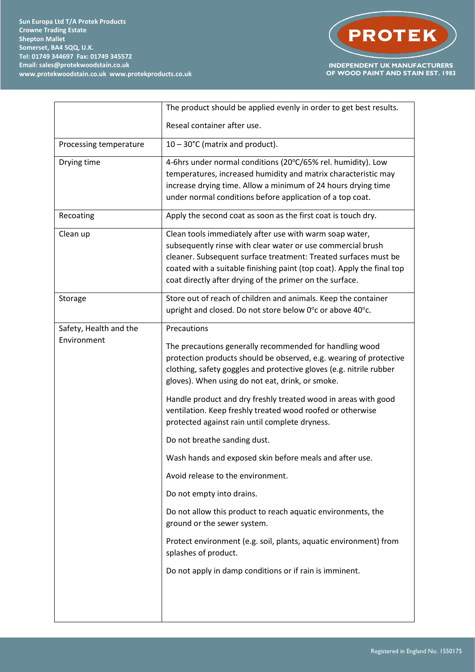

|                        | The product should be applied evenly in order to get best results.                                                                                                                                                                                                                                                              |
|------------------------|---------------------------------------------------------------------------------------------------------------------------------------------------------------------------------------------------------------------------------------------------------------------------------------------------------------------------------|
|                        | Reseal container after use.                                                                                                                                                                                                                                                                                                     |
| Processing temperature | $10 - 30^{\circ}$ C (matrix and product).                                                                                                                                                                                                                                                                                       |
| Drying time            | 4-6hrs under normal conditions (20°C/65% rel. humidity). Low<br>temperatures, increased humidity and matrix characteristic may<br>increase drying time. Allow a minimum of 24 hours drying time<br>under normal conditions before application of a top coat.                                                                    |
| Recoating              | Apply the second coat as soon as the first coat is touch dry.                                                                                                                                                                                                                                                                   |
| Clean up               | Clean tools immediately after use with warm soap water,<br>subsequently rinse with clear water or use commercial brush<br>cleaner. Subsequent surface treatment: Treated surfaces must be<br>coated with a suitable finishing paint (top coat). Apply the final top<br>coat directly after drying of the primer on the surface. |
| Storage                | Store out of reach of children and animals. Keep the container<br>upright and closed. Do not store below 0°c or above 40°c.                                                                                                                                                                                                     |
| Safety, Health and the | Precautions                                                                                                                                                                                                                                                                                                                     |
| Environment            | The precautions generally recommended for handling wood<br>protection products should be observed, e.g. wearing of protective<br>clothing, safety goggles and protective gloves (e.g. nitrile rubber<br>gloves). When using do not eat, drink, or smoke.                                                                        |
|                        | Handle product and dry freshly treated wood in areas with good<br>ventilation. Keep freshly treated wood roofed or otherwise<br>protected against rain until complete dryness.                                                                                                                                                  |
|                        | Do not breathe sanding dust.                                                                                                                                                                                                                                                                                                    |
|                        | Wash hands and exposed skin before meals and after use.                                                                                                                                                                                                                                                                         |
|                        | Avoid release to the environment.                                                                                                                                                                                                                                                                                               |
|                        | Do not empty into drains.                                                                                                                                                                                                                                                                                                       |
|                        | Do not allow this product to reach aquatic environments, the<br>ground or the sewer system.                                                                                                                                                                                                                                     |
|                        | Protect environment (e.g. soil, plants, aquatic environment) from<br>splashes of product.                                                                                                                                                                                                                                       |
|                        | Do not apply in damp conditions or if rain is imminent.                                                                                                                                                                                                                                                                         |
|                        |                                                                                                                                                                                                                                                                                                                                 |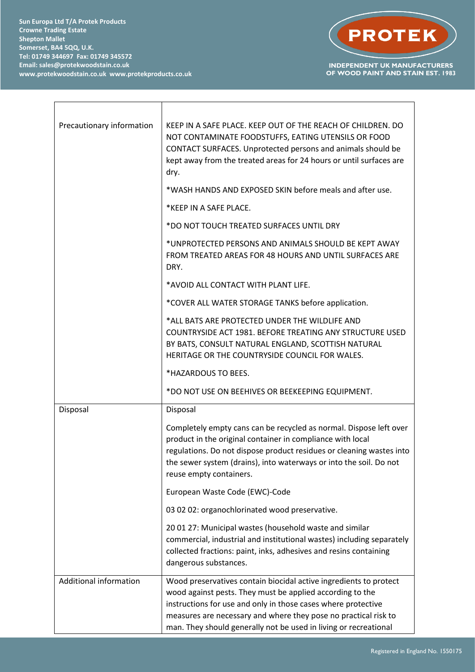**Sun Europa Ltd T/A Protek Products Crowne Trading Estate Shepton Mallet Somerset, BA4 5QQ, U.K. Tel: 01749 344697 Fax: 01749 345572 Email: sales@protekwoodstain.co.uk www.protekwoodstain.co.uk www.protekproducts.co.uk**



| Precautionary information | KEEP IN A SAFE PLACE. KEEP OUT OF THE REACH OF CHILDREN. DO<br>NOT CONTAMINATE FOODSTUFFS, EATING UTENSILS OR FOOD<br>CONTACT SURFACES. Unprotected persons and animals should be<br>kept away from the treated areas for 24 hours or until surfaces are<br>dry.                                                                       |
|---------------------------|----------------------------------------------------------------------------------------------------------------------------------------------------------------------------------------------------------------------------------------------------------------------------------------------------------------------------------------|
|                           | *WASH HANDS AND EXPOSED SKIN before meals and after use.                                                                                                                                                                                                                                                                               |
|                           | *KEEP IN A SAFE PLACE.                                                                                                                                                                                                                                                                                                                 |
|                           | *DO NOT TOUCH TREATED SURFACES UNTIL DRY                                                                                                                                                                                                                                                                                               |
|                           | *UNPROTECTED PERSONS AND ANIMALS SHOULD BE KEPT AWAY<br>FROM TREATED AREAS FOR 48 HOURS AND UNTIL SURFACES ARE<br>DRY.                                                                                                                                                                                                                 |
|                           | *AVOID ALL CONTACT WITH PLANT LIFE.                                                                                                                                                                                                                                                                                                    |
|                           | *COVER ALL WATER STORAGE TANKS before application.                                                                                                                                                                                                                                                                                     |
|                           | *ALL BATS ARE PROTECTED UNDER THE WILDLIFE AND<br>COUNTRYSIDE ACT 1981. BEFORE TREATING ANY STRUCTURE USED<br>BY BATS, CONSULT NATURAL ENGLAND, SCOTTISH NATURAL<br>HERITAGE OR THE COUNTRYSIDE COUNCIL FOR WALES.                                                                                                                     |
|                           | *HAZARDOUS TO BEES.                                                                                                                                                                                                                                                                                                                    |
|                           | *DO NOT USE ON BEEHIVES OR BEEKEEPING EQUIPMENT.                                                                                                                                                                                                                                                                                       |
| Disposal                  | Disposal                                                                                                                                                                                                                                                                                                                               |
|                           | Completely empty cans can be recycled as normal. Dispose left over<br>product in the original container in compliance with local<br>regulations. Do not dispose product residues or cleaning wastes into<br>the sewer system (drains), into waterways or into the soil. Do not<br>reuse empty containers.                              |
|                           | European Waste Code (EWC)-Code                                                                                                                                                                                                                                                                                                         |
|                           | 03 02 02: organochlorinated wood preservative.                                                                                                                                                                                                                                                                                         |
|                           | 20 01 27: Municipal wastes (household waste and similar<br>commercial, industrial and institutional wastes) including separately<br>collected fractions: paint, inks, adhesives and resins containing<br>dangerous substances.                                                                                                         |
| Additional information    | Wood preservatives contain biocidal active ingredients to protect<br>wood against pests. They must be applied according to the<br>instructions for use and only in those cases where protective<br>measures are necessary and where they pose no practical risk to<br>man. They should generally not be used in living or recreational |